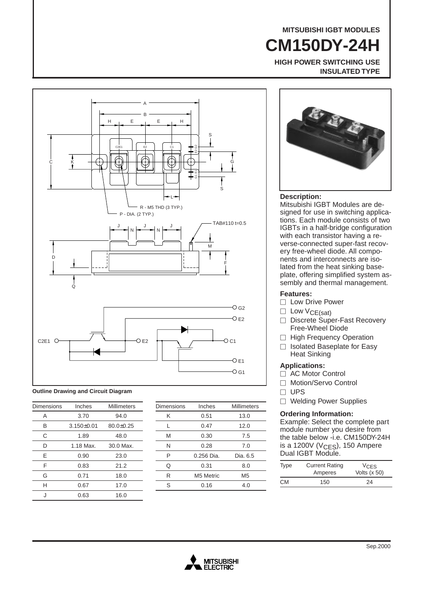# **MITSUBISHI IGBT MODULES CM150DY-24H HIGH POWER SWITCHING USE**

**INSULATED TYPE**



#### **Outline Drawing and Circuit Diagram**

| <b>Dimensions</b> | Inches           | <b>Millimeters</b> |
|-------------------|------------------|--------------------|
| Α                 | 3.70             | 94.0               |
| B                 | $3.150 \pm 0.01$ | 80.0±0.25          |
| C                 | 1.89             | 48.0               |
| D                 | 1.18 Max.        | 30.0 Max.          |
| F                 | 0.90             | 23.0               |
| F                 | 0.83             | 21.2               |
| G                 | 0.71             | 18.0               |
| н                 | 0.67             | 17.0               |
| J                 | 0.63             | 16.0               |

| <b>Dimensions</b> | Inches     | <b>Millimeters</b> |
|-------------------|------------|--------------------|
| Κ                 | 0.51       | 13.0               |
| L                 | 0.47       | 12.0               |
| M                 | 0.30       | 7.5                |
| N                 | 0.28       | 7.0                |
| P                 | 0.256 Dia. | Dia, 6.5           |
| Q                 | 0.31       | 8.0                |
| R                 | M5 Metric  | M <sub>5</sub>     |
| S                 | 0.16       | 4.0                |
|                   |            |                    |



### **Description:**

Mitsubishi IGBT Modules are designed for use in switching applications. Each module consists of two IGBTs in a half-bridge configuration with each transistor having a reverse-connected super-fast recovery free-wheel diode. All components and interconnects are isolated from the heat sinking baseplate, offering simplified system assembly and thermal management.

### **Features:**

- $\Box$  Low Drive Power
- $\Box$  Low  $V_{CE(sat)}$
- $\Box$  Discrete Super-Fast Recovery Free-Wheel Diode
- $\Box$  High Frequency Operation
- $\Box$  Isolated Baseplate for Easy Heat Sinking

#### **Applications:**

- $\Box$  AC Motor Control
- □ Motion/Servo Control
- $\Box$  UPS
- $\Box$  Welding Power Supplies

#### **Ordering Information:**

Example: Select the complete part module number you desire from the table below -i.e. CM150DY-24H is a 1200V ( $V_{CES}$ ), 150 Ampere Dual IGBT Module.

| Type | <b>Current Rating</b><br>Amperes | VCES<br>Volts $(x 50)$ |  |  |
|------|----------------------------------|------------------------|--|--|
| CM.  | 150                              | 24                     |  |  |

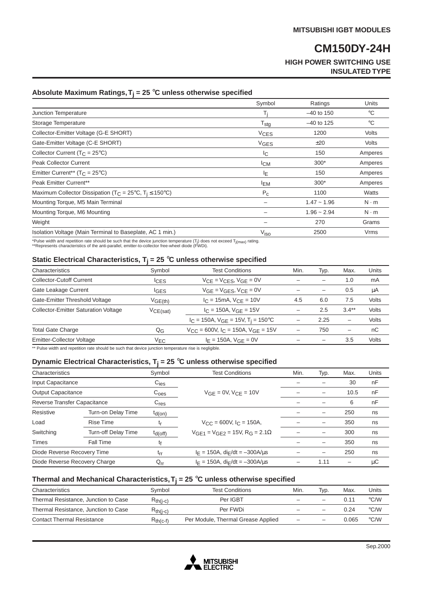## **CM150DY-24H HIGH POWER SWITCHING USE INSULATED TYPE**

## **Absolute Maximum Ratings, Tj = 25** °**C unless otherwise specified**

|                                                                                    | Symbol                 | Ratings       | Units        |
|------------------------------------------------------------------------------------|------------------------|---------------|--------------|
| Junction Temperature                                                               | Ti                     | $-40$ to 150  | $^{\circ}C$  |
| Storage Temperature                                                                | $T_{\text{stg}}$       | $-40$ to 125  | $^{\circ}C$  |
| Collector-Emitter Voltage (G-E SHORT)                                              | <b>V<sub>CES</sub></b> | 1200          | <b>Volts</b> |
| Gate-Emitter Voltage (C-E SHORT)                                                   | VGES                   | ±20           | Volts        |
| Collector Current ( $T_C = 25^{\circ}C$ )                                          | <sub>IC</sub>          | 150           | Amperes      |
| <b>Peak Collector Current</b>                                                      | <sup>I</sup> CM        | $300*$        | Amperes      |
| Emitter Current** ( $T_C = 25^{\circ}C$ )                                          | ΙE                     | 150           | Amperes      |
| Peak Emitter Current**                                                             | <sup>I</sup> EM        | $300*$        | Amperes      |
| Maximum Collector Dissipation (T <sub>C</sub> = 25°C, T <sub>i</sub> $\leq$ 150°C) | $P_C$                  | 1100          | Watts        |
| Mounting Torque, M5 Main Terminal                                                  |                        | $1.47 - 1.96$ | $N \cdot m$  |
| Mounting Torque, M6 Mounting                                                       |                        | $1.96 - 2.94$ | $N \cdot m$  |
| Weight                                                                             |                        | 270           | Grams        |
| Isolation Voltage (Main Terminal to Baseplate, AC 1 min.)                          | $V_{\mathsf{iso}}$     | 2500          | <b>Vrms</b>  |

\*Pulse width and repetition rate should be such that the device junction temperature (T<sub>j</sub>) does not exceed T<sub>j(max)</sub> rating.<br>\*\*Represents characteristics of the anti-parallel, emitter-to-collector free-wheel diode (FWDi).

#### **Static Electrical Characteristics, Tj = 25** °**C unless otherwise specified**

| Characteristics                             | Symbol       | <b>Test Conditions</b>                               | Min. | Typ. | Max.                     | Units |
|---------------------------------------------|--------------|------------------------------------------------------|------|------|--------------------------|-------|
| Collector-Cutoff Current                    | <b>CES</b>   | $V_{CF} = V_{CFS}$ , $V_{GF} = 0V$                   |      |      | 1.0                      | mA    |
| Gate Leakage Current                        | IGES         | $VGE = VGES, VCE = 0V$                               |      |      | 0.5                      | μA    |
| Gate-Emitter Threshold Voltage              | $V_{GE(th)}$ | $I_C = 15mA$ , $V_{CF} = 10V$                        | 4.5  | 6.0  | 7.5                      | Volts |
| <b>Collector-Emitter Saturation Voltage</b> | VCE(sat)     | $I_C = 150A$ , $V_{GF} = 15V$                        |      | 2.5  | $3.4**$                  | Volts |
|                                             |              | $I_C = 150A$ , $V_{GE} = 15V$ , $T_i = 150^{\circ}C$ |      | 2.25 | $\overline{\phantom{0}}$ | Volts |
| <b>Total Gate Charge</b>                    | QG           | $V_{CC}$ = 600V, $I_C$ = 150A, $V_{GF}$ = 15V        |      | 750  | $\overline{\phantom{0}}$ | nC    |
| <b>Emitter-Collector Voltage</b>            | $V_{EC}$     | $I_F = 150A$ , $V_{GF} = 0V$                         |      | -    | 3.5                      | Volts |
|                                             |              |                                                      |      |      |                          |       |

Pulse width and repetition rate should be such that device junction temperature rise is negligible.

## **Dynamic Electrical Characteristics, Tj = 25** °**C unless otherwise specified**

| Characteristics              |                               | Symbol           | <b>Test Conditions</b>                                    | Min. | Typ. | Max. | Units |
|------------------------------|-------------------------------|------------------|-----------------------------------------------------------|------|------|------|-------|
| Input Capacitance            |                               | $C_{\text{ies}}$ |                                                           |      |      | 30   | nF    |
| <b>Output Capacitance</b>    |                               | C <sub>oes</sub> | $VGF = 0V$ , $VCF = 10V$                                  |      |      | 10.5 | nF    |
| Reverse Transfer Capacitance |                               | $C_{res}$        |                                                           |      |      | 6    | nF    |
| Resistive                    | Turn-on Delay Time            | $t_{d(on)}$      |                                                           |      |      | 250  | ns    |
| Load                         | <b>Rise Time</b>              | τŗ               | $V_{C}$ = 600V, $I_C$ = 150A,                             |      |      | 350  | ns    |
| Switching                    | <b>Turn-off Delay Time</b>    | $t_{d(off)}$     | $V_{GE1} = V_{GE2} = 15V$ , R <sub>G</sub> = 2.1 $\Omega$ |      |      | 300  | ns    |
| Times                        | Fall Time                     | tŕ               |                                                           |      |      | 350  | ns    |
| Diode Reverse Recovery Time  |                               | trr              | $I_F = 150A$ , di $I_F/dt = -300A/\mu s$                  |      |      | 250  | ns    |
|                              | Diode Reverse Recovery Charge | $Q_{rr}$         | $I_F = 150A$ , $di_F/dt = -300A/us$                       | -    | 1.11 | -    | μC    |

## **Thermal and Mechanical Characteristics, Tj = 25** °**C unless otherwise specified**

| Characteristics                      | Svmbol                                          | <b>Test Conditions</b>             | Min. | Tvp. | Max.  | Units         |
|--------------------------------------|-------------------------------------------------|------------------------------------|------|------|-------|---------------|
| Thermal Resistance, Junction to Case | $R_{th(i-c)}$                                   | Per IGBT                           |      |      | 0.11  | $\degree$ C/W |
| Thermal Resistance, Junction to Case | $R_{th(i-c)}$                                   | Per FWDi                           |      |      | 0.24  | $\degree$ C/W |
| <b>Contact Thermal Resistance</b>    | $\mathsf{R}_{\mathsf{th}(\mathsf{c}\text{-f})}$ | Per Module, Thermal Grease Applied | -    |      | 0.065 | $\degree$ C/W |

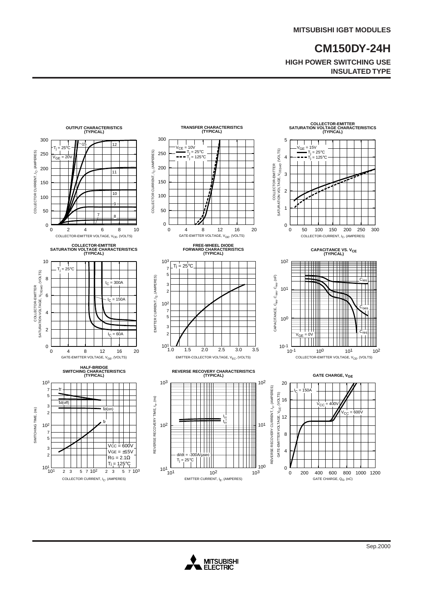## **CM150DY-24H HIGH POWER SWITCHING USE INSULATED TYPE**